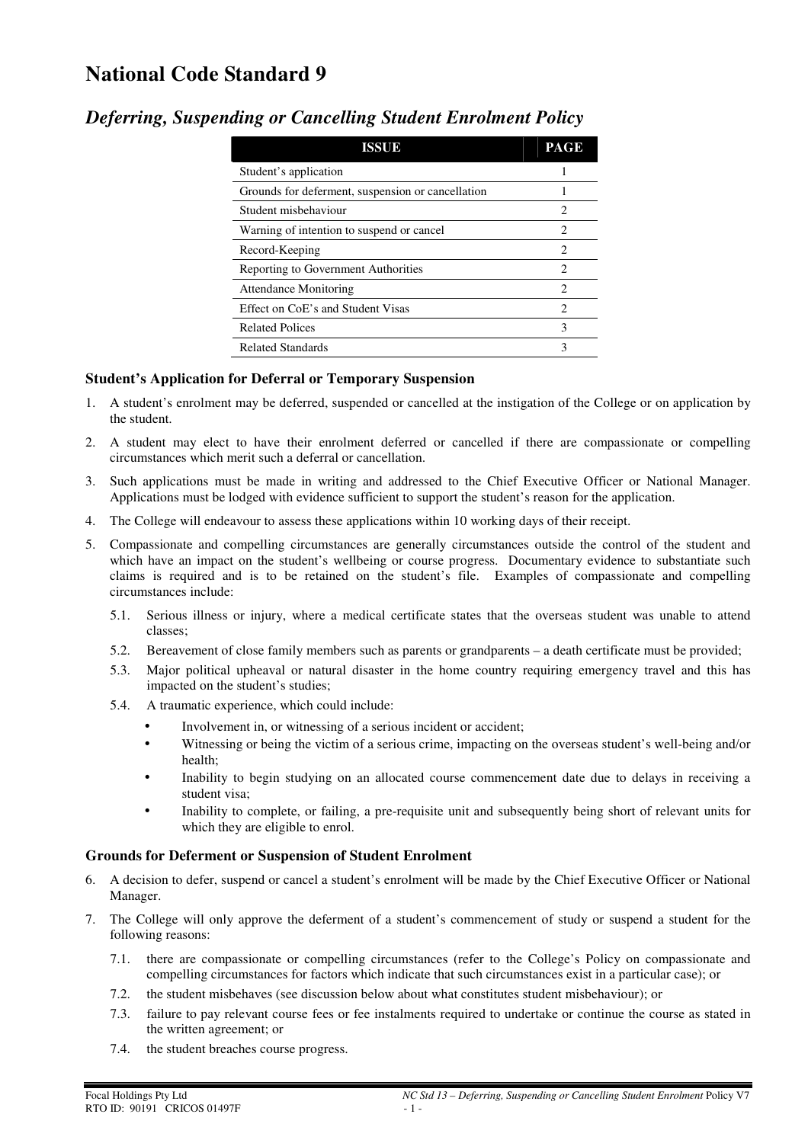# **National Code Standard 9**

| <b>ISSUE</b>                                      | <b>PAGE</b>    |
|---------------------------------------------------|----------------|
| Student's application                             |                |
| Grounds for deferment, suspension or cancellation |                |
| Student misbehaviour                              | 2              |
| Warning of intention to suspend or cancel         | 2              |
| Record-Keeping                                    | 2              |
| Reporting to Government Authorities               | $\mathfrak{D}$ |
| <b>Attendance Monitoring</b>                      | $\mathfrak{D}$ |
| Effect on CoE's and Student Visas                 | $\mathfrak{D}$ |
| <b>Related Polices</b>                            | 3              |
| <b>Related Standards</b>                          | 3              |

## *Deferring, Suspending or Cancelling Student Enrolment Policy*

### **Student's Application for Deferral or Temporary Suspension**

- 1. A student's enrolment may be deferred, suspended or cancelled at the instigation of the College or on application by the student.
- 2. A student may elect to have their enrolment deferred or cancelled if there are compassionate or compelling circumstances which merit such a deferral or cancellation.
- 3. Such applications must be made in writing and addressed to the Chief Executive Officer or National Manager. Applications must be lodged with evidence sufficient to support the student's reason for the application.
- 4. The College will endeavour to assess these applications within 10 working days of their receipt.
- 5. Compassionate and compelling circumstances are generally circumstances outside the control of the student and which have an impact on the student's wellbeing or course progress. Documentary evidence to substantiate such claims is required and is to be retained on the student's file. Examples of compassionate and compelling circumstances include:
	- 5.1. Serious illness or injury, where a medical certificate states that the overseas student was unable to attend classes;
	- 5.2. Bereavement of close family members such as parents or grandparents a death certificate must be provided;
	- 5.3. Major political upheaval or natural disaster in the home country requiring emergency travel and this has impacted on the student's studies;
	- 5.4. A traumatic experience, which could include:
		- Involvement in, or witnessing of a serious incident or accident;
		- Witnessing or being the victim of a serious crime, impacting on the overseas student's well-being and/or health;
		- Inability to begin studying on an allocated course commencement date due to delays in receiving a student visa;
		- Inability to complete, or failing, a pre-requisite unit and subsequently being short of relevant units for which they are eligible to enrol.

#### **Grounds for Deferment or Suspension of Student Enrolment**

- 6. A decision to defer, suspend or cancel a student's enrolment will be made by the Chief Executive Officer or National Manager.
- 7. The College will only approve the deferment of a student's commencement of study or suspend a student for the following reasons:
	- 7.1. there are compassionate or compelling circumstances (refer to the College's Policy on compassionate and compelling circumstances for factors which indicate that such circumstances exist in a particular case); or
	- 7.2. the student misbehaves (see discussion below about what constitutes student misbehaviour); or
	- 7.3. failure to pay relevant course fees or fee instalments required to undertake or continue the course as stated in the written agreement; or
	- 7.4. the student breaches course progress.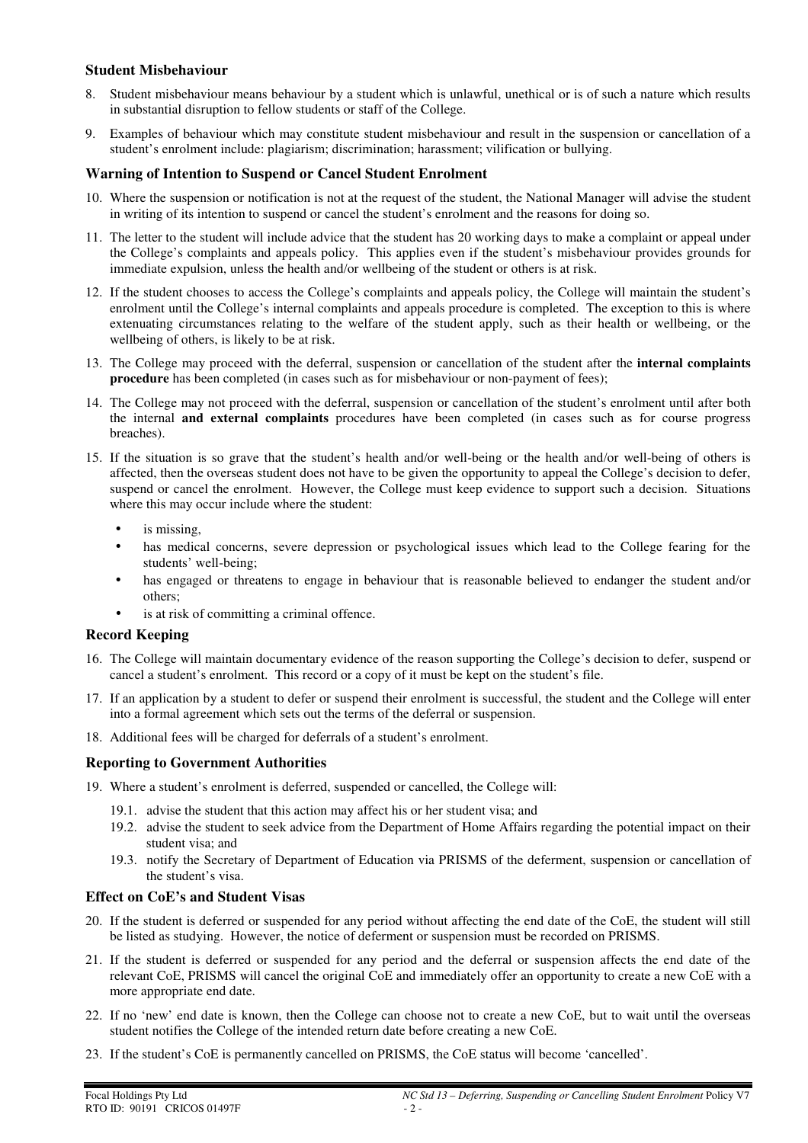#### **Student Misbehaviour**

- 8. Student misbehaviour means behaviour by a student which is unlawful, unethical or is of such a nature which results in substantial disruption to fellow students or staff of the College.
- 9. Examples of behaviour which may constitute student misbehaviour and result in the suspension or cancellation of a student's enrolment include: plagiarism; discrimination; harassment; vilification or bullying.

#### **Warning of Intention to Suspend or Cancel Student Enrolment**

- 10. Where the suspension or notification is not at the request of the student, the National Manager will advise the student in writing of its intention to suspend or cancel the student's enrolment and the reasons for doing so.
- 11. The letter to the student will include advice that the student has 20 working days to make a complaint or appeal under the College's complaints and appeals policy. This applies even if the student's misbehaviour provides grounds for immediate expulsion, unless the health and/or wellbeing of the student or others is at risk.
- 12. If the student chooses to access the College's complaints and appeals policy, the College will maintain the student's enrolment until the College's internal complaints and appeals procedure is completed. The exception to this is where extenuating circumstances relating to the welfare of the student apply, such as their health or wellbeing, or the wellbeing of others, is likely to be at risk.
- 13. The College may proceed with the deferral, suspension or cancellation of the student after the **internal complaints procedure** has been completed (in cases such as for misbehaviour or non-payment of fees);
- 14. The College may not proceed with the deferral, suspension or cancellation of the student's enrolment until after both the internal **and external complaints** procedures have been completed (in cases such as for course progress breaches).
- 15. If the situation is so grave that the student's health and/or well-being or the health and/or well-being of others is affected, then the overseas student does not have to be given the opportunity to appeal the College's decision to defer, suspend or cancel the enrolment. However, the College must keep evidence to support such a decision. Situations where this may occur include where the student:
	- is missing.
	- has medical concerns, severe depression or psychological issues which lead to the College fearing for the students' well-being;
	- has engaged or threatens to engage in behaviour that is reasonable believed to endanger the student and/or others;
	- is at risk of committing a criminal offence.

#### **Record Keeping**

- 16. The College will maintain documentary evidence of the reason supporting the College's decision to defer, suspend or cancel a student's enrolment. This record or a copy of it must be kept on the student's file.
- 17. If an application by a student to defer or suspend their enrolment is successful, the student and the College will enter into a formal agreement which sets out the terms of the deferral or suspension.
- 18. Additional fees will be charged for deferrals of a student's enrolment.

#### **Reporting to Government Authorities**

- 19. Where a student's enrolment is deferred, suspended or cancelled, the College will:
	- 19.1. advise the student that this action may affect his or her student visa; and
	- 19.2. advise the student to seek advice from the Department of Home Affairs regarding the potential impact on their student visa; and
	- 19.3. notify the Secretary of Department of Education via PRISMS of the deferment, suspension or cancellation of the student's visa.

#### **Effect on CoE's and Student Visas**

- 20. If the student is deferred or suspended for any period without affecting the end date of the CoE, the student will still be listed as studying. However, the notice of deferment or suspension must be recorded on PRISMS.
- 21. If the student is deferred or suspended for any period and the deferral or suspension affects the end date of the relevant CoE, PRISMS will cancel the original CoE and immediately offer an opportunity to create a new CoE with a more appropriate end date.
- 22. If no 'new' end date is known, then the College can choose not to create a new CoE, but to wait until the overseas student notifies the College of the intended return date before creating a new CoE.
- 23. If the student's CoE is permanently cancelled on PRISMS, the CoE status will become 'cancelled'.